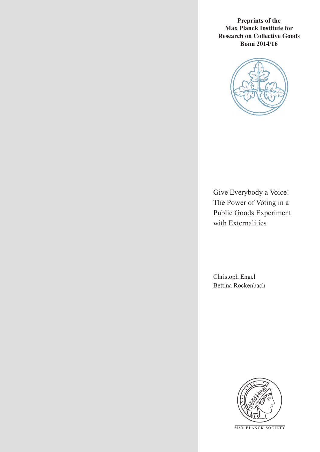**Preprints of the Max Planck Institute for Research on Collective Goods Bonn 2014/16**



Give Everybody a Voice! The Power of Voting in a Public Goods Experiment with Externalities

Christoph Engel Bettina Rockenbach



**M AX PLANCK SOCIETY**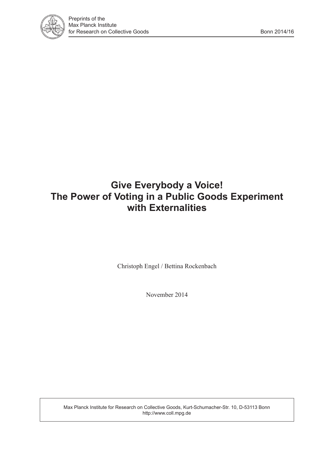

# **Give Everybody a Voice! The Power of Voting in a Public Goods Experiment with Externalities**

Christoph Engel / Bettina Rockenbach

November 2014

Max Planck Institute for Research on Collective Goods, Kurt-Schumacher-Str. 10, D-53113 Bonn http://www.coll.mpg.de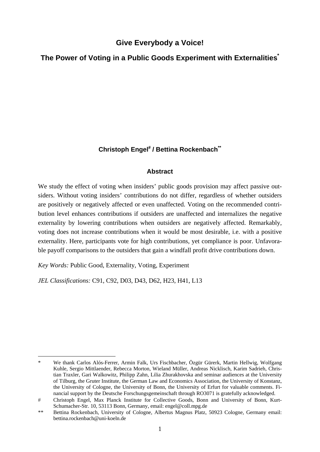# **Give Everybody a Voice!**

# **The Power of Voting in a Public Goods Experiment with Externalities\***

# Christoph Engel<sup>#</sup> / Bettina Rockenbach<sup>\*\*</sup>

# **Abstract**

We study the effect of voting when insiders' public goods provision may affect passive outsiders. Without voting insiders' contributions do not differ, regardless of whether outsiders are positively or negatively affected or even unaffected. Voting on the recommended contribution level enhances contributions if outsiders are unaffected and internalizes the negative externality by lowering contributions when outsiders are negatively affected. Remarkably, voting does not increase contributions when it would be most desirable, i.e. with a positive externality. Here, participants vote for high contributions, yet compliance is poor. Unfavorable payoff comparisons to the outsiders that gain a windfall profit drive contributions down.

*Key Words:* Public Good, Externality, Voting, Experiment

*JEL Classifications:* C91, C92, D03, D43, D62, H23, H41, L13

<sup>-</sup>We thank Carlos Alós-Ferrer, Armin Falk, Urs Fischbacher, Özgür Gürerk, Martin Hellwig, Wolfgang Kuhle, Sergio Mittlaender, Rebecca Morton, Wieland Müller, Andreas Nicklisch, Karim Sadrieh, Christian Traxler, Gari Walkowitz, Philipp Zahn, Lilia Zhurakhovska and seminar audiences at the University of Tilburg, the Gruter Institute, the German Law and Economics Association, the University of Konstanz, the University of Cologne, the University of Bonn, the University of Erfurt for valuable comments. Financial support by the Deutsche Forschungsgemeinschaft through RO3071 is gratefully acknowledged.

Christoph Engel, Max Planck Institute for Collective Goods, Bonn and University of Bonn, Kurt-Schumacher-Str. 10, 53113 Bonn, Germany, email: engel@coll.mpg.de

<sup>\*\*</sup> Bettina Rockenbach, University of Cologne, Albertus Magnus Platz, 50923 Cologne, Germany email: bettina.rockenbach@uni-koeln.de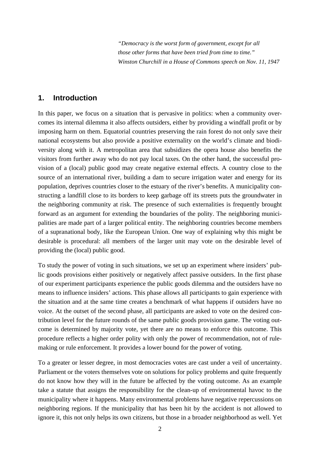*"Democracy is the worst form of government, except for all those other forms that have been tried from time to time." Winston Churchill in a House of Commons speech on Nov. 11, 1947* 

# **1. Introduction**

In this paper, we focus on a situation that is pervasive in politics: when a community overcomes its internal dilemma it also affects outsiders, either by providing a windfall profit or by imposing harm on them. Equatorial countries preserving the rain forest do not only save their national ecosystems but also provide a positive externality on the world's climate and biodiversity along with it. A metropolitan area that subsidizes the opera house also benefits the visitors from further away who do not pay local taxes. On the other hand, the successful provision of a (local) public good may create negative external effects. A country close to the source of an international river, building a dam to secure irrigation water and energy for its population, deprives countries closer to the estuary of the river's benefits. A municipality constructing a landfill close to its borders to keep garbage off its streets puts the groundwater in the neighboring community at risk. The presence of such externalities is frequently brought forward as an argument for extending the boundaries of the polity. The neighboring municipalities are made part of a larger political entity. The neighboring countries become members of a supranational body, like the European Union. One way of explaining why this might be desirable is procedural: all members of the larger unit may vote on the desirable level of providing the (local) public good.

To study the power of voting in such situations, we set up an experiment where insiders' public goods provisions either positively or negatively affect passive outsiders. In the first phase of our experiment participants experience the public goods dilemma and the outsiders have no means to influence insiders' actions. This phase allows all participants to gain experience with the situation and at the same time creates a benchmark of what happens if outsiders have no voice. At the outset of the second phase, all participants are asked to vote on the desired contribution level for the future rounds of the same public goods provision game. The voting outcome is determined by majority vote, yet there are no means to enforce this outcome. This procedure reflects a higher order polity with only the power of recommendation, not of rulemaking or rule enforcement. It provides a lower bound for the power of voting.

To a greater or lesser degree, in most democracies votes are cast under a veil of uncertainty. Parliament or the voters themselves vote on solutions for policy problems and quite frequently do not know how they will in the future be affected by the voting outcome. As an example take a statute that assigns the responsibility for the clean-up of environmental havoc to the municipality where it happens. Many environmental problems have negative repercussions on neighboring regions. If the municipality that has been hit by the accident is not allowed to ignore it, this not only helps its own citizens, but those in a broader neighborhood as well. Yet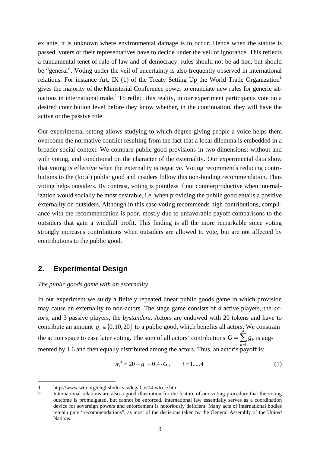ex ante, it is unknown where environmental damage is to occur. Hence when the statute is passed, voters or their representatives have to decide under the veil of ignorance. This reflects a fundamental tenet of rule of law and of democracy: rules should not be ad hoc, but should be "general". Voting under the veil of uncertainty is also frequently observed in international relations. For instance Art. IX (1) of the Treaty Setting Up the World Trade Organization<sup>1</sup> gives the majority of the Ministerial Conference power to enunciate new rules for generic situations in international trade.<sup>2</sup> To reflect this reality, in our experiment participants vote on a desired contribution level before they know whether, in the continuation, they will have the active or the passive role.

Our experimental setting allows studying to which degree giving people a voice helps them overcome the normative conflict resulting from the fact that a local dilemma is embedded in a broader social context. We compare public good provisions in two dimensions: without and with voting, and conditional on the character of the externality. Our experimental data show that voting is effective when the externality is negative. Voting recommends reducing contributions to the (local) public good and insiders follow this non-binding recommendation. Thus voting helps outsiders. By contrast, voting is pointless if not counterproductive when internalization would socially be most desirable, i.e. when providing the public good entails a positive externality on outsiders. Although in this case voting recommends high contributions, compliance with the recommendation is poor, mostly due to unfavorable payoff comparisons to the outsiders that gain a windfall profit. This finding is all the more remarkable since voting strongly increases contributions when outsiders are allowed to vote, but are not affected by contributions to the public good.

# **2. Experimental Design**

-

### *The public goods game with an externality*

In our experiment we study a finitely repeated linear public goods game in which provision may cause an externality to non-actors. The stage game consists of 4 active players, the *actors*, and 3 passive players, the *bystanders*. Actors are endowed with 20 tokens and have to contribute an amount  $g_i \in \{0, 10, 20\}$  to a public good, which benefits all actors. We constrain the action space to ease later voting. The sum of all actors' contributions  $G = \sum_{k=1}^{n}$ 4 mented by 1.6 and then equally distributed among the actors. Thus, an actor's payoff is:  $G = \sum g_k$  is aug-

$$
\pi_i^A = 20 - g_i + 0.4 \cdot G, \qquad i = 1, \dots, 4 \tag{1}
$$

<sup>1</sup> http://www.wto.org/english/docs\_e/legal\_e/04-wto\_e.htm

<sup>2</sup> International relations are also a good illustration for the feature of our voting procedure that the voting outcome is promulgated, but cannot be enforced. International law essentially serves as a coordination device for sovereign powers and enforcement is notoriously deficient. Many acts of international bodies remain pure "recommendations", as most of the decisions taken by the General Assembly of the United Nations.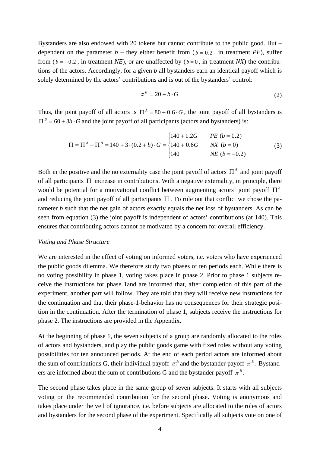Bystanders are also endowed with 20 tokens but cannot contribute to the public good. But – dependent on the parameter  $b$  – they either benefit from ( $b = 0.2$ , in treatment *PE*), suffer from ( $b = -0.2$ , in treatment *NE*), or are unaffected by ( $b = 0$ , in treatment *NX*) the contributions of the actors. Accordingly, for a given *b* all bystanders earn an identical payoff which is solely determined by the actors' contributions and is out of the bystanders' control:

$$
\pi^B = 20 + b \cdot G \tag{2}
$$

Thus, the joint payoff of all actors is  $\Pi^A = 80 + 0.6 \cdot G$ , the joint payoff of all bystanders is  $\Pi^B = 60 + 3b \cdot G$  and the joint payoff of all participants (actors and bystanders) is:

$$
\Pi = \Pi^{A} + \Pi^{B} = 140 + 3 \cdot (0.2 + b) \cdot G = \begin{cases} 140 + 1.2G & PE (b = 0.2) \\ 140 + 0.6G & NK (b = 0) \\ 140 & NE (b = -0.2) \end{cases}
$$
(3)

Both in the positive and the no externality case the joint payoff of actors  $\Pi^A$  and joint payoff of all participants  $\Pi$  increase in contributions. With a negative externality, in principle, there would be potential for a motivational conflict between augmenting actors' joint payoff  $\Pi^A$ and reducing the joint payoff of all participants  $\Pi$ . To rule out that conflict we chose the parameter *b* such that the net gain of actors exactly equals the net loss of bystanders. As can be seen from equation (3) the joint payoff is independent of actors' contributions (at 140). This ensures that contributing actors cannot be motivated by a concern for overall efficiency.

### *Voting and Phase Structure*

We are interested in the effect of voting on informed voters, i.e. voters who have experienced the public goods dilemma. We therefore study two phases of ten periods each. While there is no voting possibility in phase 1, voting takes place in phase 2. Prior to phase 1 subjects receive the instructions for phase 1and are informed that, after completion of this part of the experiment, another part will follow. They are told that they will receive new instructions for the continuation and that their phase-1-behavior has no consequences for their strategic position in the continuation. After the termination of phase 1, subjects receive the instructions for phase 2. The instructions are provided in the Appendix.

At the beginning of phase 1, the seven subjects of a group are randomly allocated to the roles of actors and bystanders, and play the public goods game with fixed roles without any voting possibilities for ten announced periods. At the end of each period actors are informed about the sum of contributions G, their individual payoff  $\pi_i^A$  and the bystander payoff  $\pi^B$ . Bystanders are informed about the sum of contributions G and the bystander payoff  $\pi^B$ .

The second phase takes place in the same group of seven subjects. It starts with all subjects voting on the recommended contribution for the second phase. Voting is anonymous and takes place under the veil of ignorance, i.e. before subjects are allocated to the roles of actors and bystanders for the second phase of the experiment. Specifically all subjects vote on one of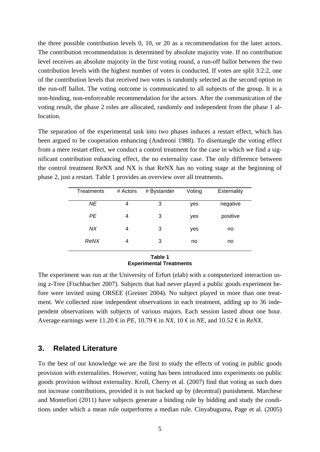the three possible contribution levels 0, 10, or 20 as a recommendation for the later actors. The contribution recommendation is determined by absolute majority vote. If no contribution level receives an absolute majority in the first voting round, a run-off ballot between the two contribution levels with the highest number of votes is conducted. If votes are split 3:2:2, one of the contribution levels that received two votes is randomly selected as the second option in the run-off ballot. The voting outcome is communicated to all subjects of the group. It is a non-binding, non-enforceable recommendation for the actors. After the communication of the voting result, the phase 2 roles are allocated, randomly and independent from the phase 1 allocation.

The separation of the experimental task into two phases induces a restart effect, which has been argued to be cooperation enhancing (Andreoni 1988). To disentangle the voting effect from a mere restart effect, we conduct a control treatment for the case in which we find a significant contribution enhancing effect, the no externality case. The only difference between the control treatment ReNX and NX is that ReNX has no voting stage at the beginning of phase 2, just a restart. Table 1 provides an overview over all treatments.

| Treatments | # Actors | # Bystander | Voting | Externality |  |
|------------|----------|-------------|--------|-------------|--|
|            |          |             |        |             |  |
| ΝE         | 4        | 3           | yes    | negative    |  |
|            |          |             |        |             |  |
| <b>PE</b>  | 4        | 3           | yes    | positive    |  |
|            |          |             |        |             |  |
| NХ         | 4        | 3           |        | no          |  |
|            |          |             | yes    |             |  |
|            |          |             |        |             |  |
| ReNX       | 4        | 3           | no     | no          |  |
|            |          |             |        |             |  |
|            |          | Table 1     |        |             |  |
|            |          |             |        |             |  |

# **Experimental Treatments**

The experiment was run at the University of Erfurt (elab) with a computerized interaction using z-Tree (Fischbacher 2007). Subjects that had never played a public goods experiment before were invited using ORSEE (Greiner 2004). No subject played in more than one treatment. We collected nine independent observations in each treatment, adding up to 36 independent observations with subjects of various majors. Each session lasted about one hour. Average earnings were 11.20  $\epsilon$  in *PE*, 10.79  $\epsilon$  in *NX*, 10  $\epsilon$  in *NE*, and 10.52  $\epsilon$  in *ReNX*.

# **3. Related Literature**

To the best of our knowledge we are the first to study the effects of voting in public goods provision with externalities. However, voting has been introduced into experiments on public goods provision without externality. Kroll, Cherry et al. (2007) find that voting as such does not increase contributions, provided it is not backed up by (decentral) punishment. Marchese and Montefiori (2011) have subjects generate a binding rule by bidding and study the conditions under which a mean rule outperforms a median rule. Cinyabuguma, Page et al. (2005)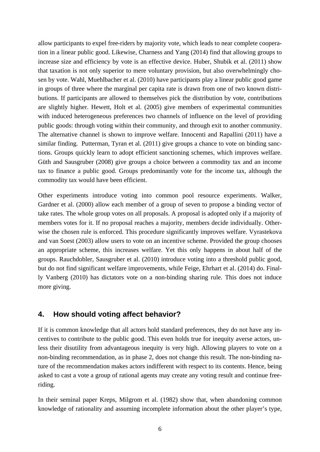allow participants to expel free-riders by majority vote, which leads to near complete cooperation in a linear public good. Likewise, Charness and Yang (2014) find that allowing groups to increase size and efficiency by vote is an effective device. Huber, Shubik et al. (2011) show that taxation is not only superior to mere voluntary provision, but also overwhelmingly chosen by vote. Wahl, Muehlbacher et al. (2010) have participants play a linear public good game in groups of three where the marginal per capita rate is drawn from one of two known distributions. If participants are allowed to themselves pick the distribution by vote, contributions are slightly higher. Hewett, Holt et al. (2005) give members of experimental communities with induced heterogeneous preferences two channels of influence on the level of providing public goods: through voting within their community, and through exit to another community. The alternative channel is shown to improve welfare. Innocenti and Rapallini (2011) have a similar finding. Putterman, Tyran et al. (2011) give groups a chance to vote on binding sanctions. Groups quickly learn to adopt efficient sanctioning schemes, which improves welfare. Güth and Sausgruber (2008) give groups a choice between a commodity tax and an income tax to finance a public good. Groups predominantly vote for the income tax, although the commodity tax would have been efficient.

Other experiments introduce voting into common pool resource experiments. Walker, Gardner et al. (2000) allow each member of a group of seven to propose a binding vector of take rates. The whole group votes on all proposals. A proposal is adopted only if a majority of members votes for it. If no proposal reaches a majority, members decide individually. Otherwise the chosen rule is enforced. This procedure significantly improves welfare. Vyrastekova and van Soest (2003) allow users to vote on an incentive scheme. Provided the group chooses an appropriate scheme, this increases welfare. Yet this only happens in about half of the groups. Rauchdobler, Sausgruber et al. (2010) introduce voting into a threshold public good, but do not find significant welfare improvements, while Feige, Ehrhart et al. (2014) do. Finally Vanberg (2010) has dictators vote on a non-binding sharing rule. This does not induce more giving.

# **4. How should voting affect behavior?**

If it is common knowledge that all actors hold standard preferences, they do not have any incentives to contribute to the public good. This even holds true for inequity averse actors, unless their disutility from advantageous inequity is very high. Allowing players to vote on a non-binding recommendation, as in phase 2, does not change this result. The non-binding nature of the recommendation makes actors indifferent with respect to its contents. Hence, being asked to cast a vote a group of rational agents may create any voting result and continue freeriding.

In their seminal paper Kreps, Milgrom et al. (1982) show that, when abandoning common knowledge of rationality and assuming incomplete information about the other player's type,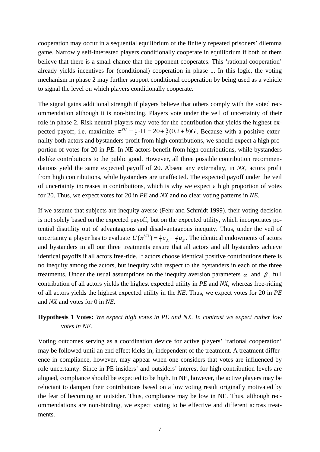cooperation may occur in a sequential equilibrium of the finitely repeated prisoners' dilemma game. Narrowly self-interested players conditionally cooperate in equilibrium if both of them believe that there is a small chance that the opponent cooperates. This 'rational cooperation' already yields incentives for (conditional) cooperation in phase 1. In this logic, the voting mechanism in phase 2 may further support conditional cooperation by being used as a vehicle to signal the level on which players conditionally cooperate.

The signal gains additional strength if players believe that others comply with the voted recommendation although it is non-binding. Players vote under the veil of uncertainty of their role in phase 2. Risk neutral players may vote for the contribution that yields the highest expected payoff, i.e. maximize  $\pi^{VU} = \frac{1}{7} \cdot \Pi = 20 + \frac{3}{7}(0.2 + b)G$ . Because with a positive externality both actors and bystanders profit from high contributions, we should expect a high proportion of votes for 20 in *PE*. In *NE* actors benefit from high contributions, while bystanders dislike contributions to the public good. However, all three possible contribution recommendations yield the same expected payoff of 20. Absent any externality, in *NX*, actors profit from high contributions, while bystanders are unaffected. The expected payoff under the veil of uncertainty increases in contributions, which is why we expect a high proportion of votes for 20. Thus, we expect votes for 20 in *PE* and *NX* and no clear voting patterns in *NE*.

If we assume that subjects are inequity averse (Fehr and Schmidt 1999), their voting decision is not solely based on the expected payoff, but on the expected utility, which incorporates potential disutility out of advantageous and disadvantageous inequity. Thus, under the veil of uncertainty a player has to evaluate  $U(\pi^{VU}) = \frac{4}{7}u_A + \frac{3}{7}u_B$ . The identical endowments of actors and bystanders in all our three treatments ensure that all actors and all bystanders achieve identical payoffs if all actors free-ride. If actors choose identical positive contributions there is no inequity among the actors, but inequity with respect to the bystanders in each of the three treatments. Under the usual assumptions on the inequity aversion parameters  $\alpha$  and  $\beta$ , full contribution of all actors yields the highest expected utility in *PE* and *NX*, whereas free-riding of all actors yields the highest expected utility in the *NE*. Thus, we expect votes for 20 in *PE* and *NX* and votes for 0 in *NE*.

# **Hypothesis 1 Votes:** *We expect high votes in PE and NX. In contrast we expect rather low votes in NE.*

Voting outcomes serving as a coordination device for active players' 'rational cooperation' may be followed until an end effect kicks in, independent of the treatment. A treatment difference in compliance, however, may appear when one considers that votes are influenced by role uncertainty. Since in PE insiders' and outsiders' interest for high contribution levels are aligned, compliance should be expected to be high. In NE, however, the active players may be reluctant to dampen their contributions based on a low voting result originally motivated by the fear of becoming an outsider. Thus, compliance may be low in NE. Thus, although recommendations are non-binding, we expect voting to be effective and different across treatments.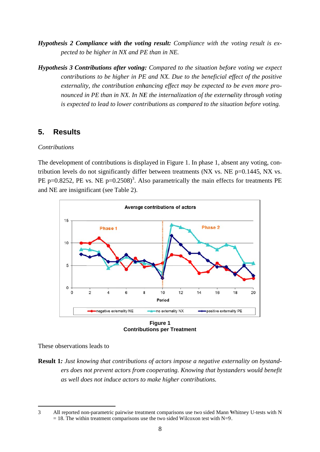- *Hypothesis 2 Compliance with the voting result: Compliance with the voting result is expected to be higher in NX and PE than in NE.*
- *Hypothesis 3 Contributions after voting: Compared to the situation before voting we expect contributions to be higher in PE and NX. Due to the beneficial effect of the positive externality, the contribution enhancing effect may be expected to be even more pronounced in PE than in NX. In NE the internalization of the externality through voting is expected to lead to lower contributions as compared to the situation before voting.*

#### **5. R Results**

# *Contrib butions*

The development of contributions is displayed in Figure 1. In phase 1, absent any voting, contribution levels do not significantly differ between treatments (NX vs. NE  $p=0.1445$ , NX vs. PE p=0.8252, PE vs. NE p=0.2508)<sup>3</sup>. Also parametrically the main effects for treatments PE and NE are insignificant (see Table 2).



**Contributions per Treatment Figure 1**

These observations leads to

**Result 1:** Just knowing that contributions of actors impose a negative externality on bystand*ers does not prevent actors from cooperating. Knowing that bystanders would benefit as well does not induce actors to make higher contributions.* 

<sup>-</sup>3 All reported non-parametric pairwise treatment comparisons use two sided Mann Whitney U-tests with N  $= 18$ . The within treatment comparisons use the two sided Wilcoxon test with N=9.  $\overline{a}$  $\overline{a}$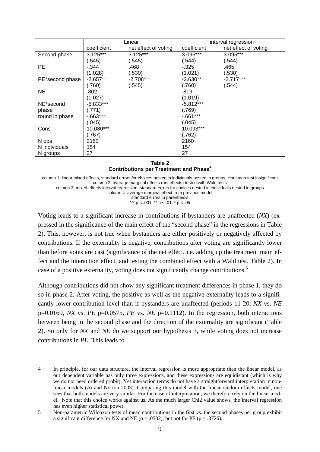|                 | Linear      |                      | interval regression |                      |  |
|-----------------|-------------|----------------------|---------------------|----------------------|--|
|                 | coefficient | net effect of voting | coefficient         | net effect of voting |  |
| Second phase    | $3.125***$  | $3.125***$           | 3.095***            | $3.095***$           |  |
|                 | (.545)      | (.545)               | (.544)              | (.544)               |  |
| <b>PE</b>       | -.344       | .468                 | $-0.325$            | .465                 |  |
|                 | (1.028)     | (.530)               | (1.021)             | (.530)               |  |
| PE*second phase | $-2.657**$  | $-2.708***$          | $-2.630**$          | $-2.717***$          |  |
|                 | (.760)      | (.545)               | (.760)              | (.544)               |  |
| <b>NE</b>       | .802        |                      | .819                |                      |  |
|                 | (1.027)     |                      | (1.019)             |                      |  |
| NE*second       | $-5.833***$ |                      | $-5.812***$         |                      |  |
| phase           | (.771)      |                      | (.769)              |                      |  |
| round in phase  | $-0.663***$ |                      | $-0.661***$         |                      |  |
|                 | (.045)      |                      | (.045)              |                      |  |
| Cons            | 10.080***   |                      | 10.093***           |                      |  |
|                 | (.767)      |                      | (.762)              |                      |  |
| N obs           | 2160        |                      | 2160                |                      |  |
| N individuals   | 154         |                      | 154                 |                      |  |
| N groups        | 27          |                      | 27                  |                      |  |

#### **Table 2 Contributions per Treatment and Phase4**

column 1: linear mixed effects, standard errors for choices nested in individuals nested in groups, Hausman test insignificant column 2: average marginal effects (net effects) tested with Wald tests

column 3: mixed effects interval regression, standard errors for choices nested in individuals nested in groups

column 4: average marginal effect from previous model

standard errors in parenthesis

\*\*\*  $p < .001$ , \*\*  $p < .01$ , \* $p < .05$ 

Voting leads to a significant increase in contributions if bystanders are unaffected (*NX*) (expressed in the significance of the main effect of the "second phase" in the regressions in Table 2). This, however, is not true when bystanders are either positively or negatively affected by contributions. If the externality is negative, contributions after voting are significantly lower than before votes are cast (significance of the net effect, i.e. adding up the treatment main effect and the interaction effect, and testing the combined effect with a Wald test, Table 2). In case of a positive externality, voting does not significantly change contributions.<sup>5</sup>

Although contributions did not show any significant treatment differences in phase 1, they do so in phase 2. After voting, the positive as well as the negative externality leads to a significantly lower contribution level than if bystanders are unaffected (periods 11-20: *NX* vs. *NE* p=0.0169, *NX* vs. *PE* p=0.0575, *PE* vs. *NE* p=0.1112). In the regression, both interactions between being in the second phase and the direction of the externality are significant (Table 2). So only for *NX* and *NE* do we support our hypothesis 3, while voting does not increase contributions in *PE*. This leads to

<sup>-</sup>4 In principle, for our data structure, the interval regression is more appropriate than the linear model, as our dependent variable has only three expressions, and these expressions are equidistant (which is why we do not need ordered probit). Yet interaction terms do not have a straightforward interpretation in nonlinear models (Ai and Norton 2003). Comparing this model with the linear random effects model, one sees that both models are very similar. For the ease of interpretation, we therefore rely on the linear model. Note that this choice works against us. As the much larger Chi2 value shows, the interval regression has even higher statistical power.

<sup>5</sup> Non-parametric Wilcoxon tests of mean contributions in the first vs. the second phases per group exhibit a significant difference for NX and NE ( $p = .0502$ ), but not for PE ( $p = .3726$ ).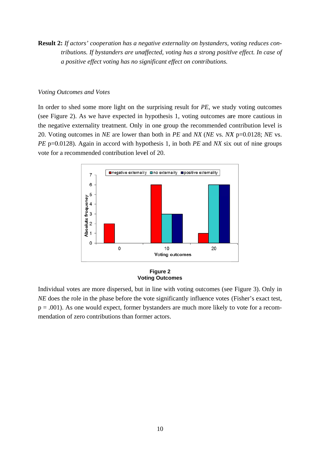**Result 2:** If actors' cooperation has a negative externality on bystanders, voting reduces con*tributions. If bystanders are unaffected, voting has a strong positive effect. In case of a* positive effect voting has no significant effect on contributions.

### Voting Outcomes and Votes

In order to shed some more light on the surprising result for *PE*, we study voting outcomes (see Figure 2). As we have expected in hypothesis 1, voting outcomes are more cautious in the negative externality treatment. Only in one group the recommended contribution level is 20. Voting outcomes in *NE* are lower than both in *PE* and *NX* (*NE* vs. *NX* p=0.0128; *NE* vs. *PE* p=0.0128). Again in accord with hypothesis 1, in both *PE* and *NX* six out of nine groups vote for a recommended contribution level of 20.



#### **Voting Outcomes Figure 2**

Individual votes are more dispersed, but in line with voting outcomes (see Figure 3). Only in *NE* does the role in the phase before the vote significantly influence votes (Fisher's exact test,  $p = .001$ ). As one would expect, former bystanders are much more likely to vote for a recommendation of zero contributions than former actors.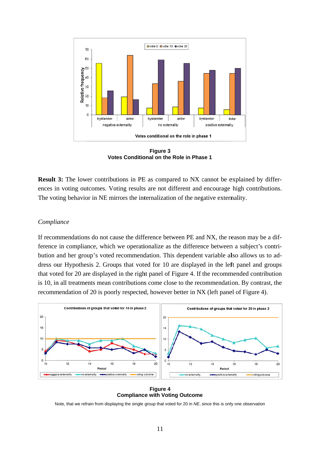

**Votes Conditional on the Role in Phase 1 Figure 3**

**Result 3:** The lower contributions in PE as compared to NX cannot be explained by differences in voting outcomes. Voting results are not different and encourage high contributions. The voting behavior in NE mirrors the internalization of the negative externality.

### $Compliance$

If recommendations do not cause the difference between PE and NX, the reason may be a difference in compliance, which we operationalize as the difference between a subject's contribution and her group's voted recommendation. This dependent variable also allows us to address our Hypothesis 2. Groups that voted for 10 are displayed in the left panel and groups that voted for 20 are displayed in the right panel of Figure 4. If the recommended contribution is 10, in all treatments mean contributions come close to the recommendation. By contrast, the recommendation of 20 is poorly respected, however better in NX (left panel of Figure 4).



**Compliance with Voting Outcome Figure 4**

Note, that we refrain from displaying the single group that voted for 20 in NE, since this is only one observation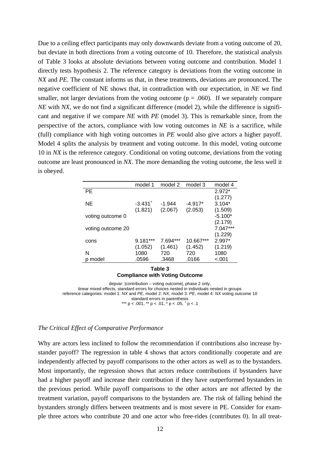Due to a ceiling effect participants may only downwards deviate from a voting outcome of 20, but deviate in both directions from a voting outcome of 10. Therefore, the statistical analysis of Table 3 looks at absolute deviations between voting outcome and contribution. Model 1 directly tests hypothesis 2. The reference category is deviations from the voting outcome in *NX* and *PE*. The constant informs us that, in these treatments, deviations are pronounced. The negative coefficient of NE shows that, in contradiction with our expectation, in *NE* we find smaller, not larger deviations from the voting outcome  $(p = .060)$ . If we separately compare *NE* with *NX*, we do not find a significant difference (model 2), while the difference is significant and negative if we compare *NE* with *PE* (model 3). This is remarkable since, from the perspective of the actors, compliance with low voting outcomes in *NE* is a sacrifice, while (full) compliance with high voting outcomes in *PE* would also give actors a higher payoff. Model 4 splits the analysis by treatment and voting outcome. In this model, voting outcome 10 in *NX* is the reference category. Conditional on voting outcome, deviations from the voting outcome are least pronounced in *NX*. The more demanding the voting outcome, the less well it is obeyed.

|                   | model 1               | model 2    | model 3   | model 4    |
|-------------------|-----------------------|------------|-----------|------------|
| PE                |                       |            |           | $2.972*$   |
|                   |                       |            |           | (1.277)    |
| <b>NE</b>         | $-3.431$ <sup>+</sup> | $-1.944$   | $-4.917*$ | $3.104*$   |
|                   | (1.821)               | (2.067)    | (2.053)   | (1.509)    |
| voting outcome 0  |                       |            |           | $-5.100*$  |
|                   |                       |            |           | (2.179)    |
| voting outcome 20 |                       |            |           | $7.047***$ |
|                   |                       |            |           | (1.229)    |
| cons              | 9.181***              | $7.694***$ | 10.667*** | $2.997*$   |
|                   | (1.052)               | (1.461)    | (1.452)   | (1.219)    |
| N                 | 1080                  | 720        | 720       | 1080       |
| model             | .0596                 | .3468      | .0166     | $-.001$    |

#### **Table 3 Compliance with Voting Outcome**

depvar: |contribution – voting outcome|, phase 2 only, linear mixed effects, standard errors for choices nested in individuals nested in groups reference categories: model 1: *NX* and *PE*, model 2: *NX*, model 3: *PE*, model 4: *NX* voting outcome 10 standard errors in parenthesis<br>\*\*\*  $p < .001$ , \*\*  $p < .01$ , \*  $p < .05$ ,  $\frac{+}{p} < .1$ 

### *The Critical Effect of Comparative Performance*

Why are actors less inclined to follow the recommendation if contributions also increase bystander payoff? The regression in table 4 shows that actors conditionally cooperate and are independently affected by payoff comparisons to the other actors as well as to the bystanders. Most importantly, the regression shows that actors reduce contributions if bystanders have had a higher payoff and increase their contribution if they have outperformed bystanders in the previous period. While payoff comparisons to the other actors are not affected by the treatment variation, payoff comparisons to the bystanders are. The risk of falling behind the bystanders strongly differs between treatments and is most severe in PE. Consider for example three actors who contribute 20 and one actor who free-rides (contributes 0). In all treat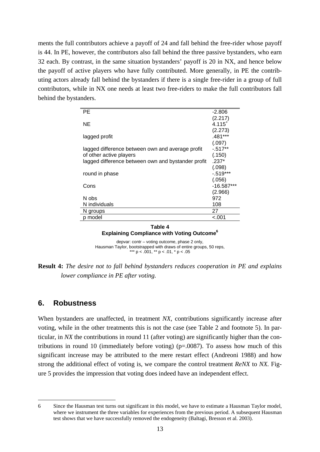ments the full contributors achieve a payoff of 24 and fall behind the free-rider whose payoff is 44. In PE, however, the contributors also fall behind the three passive bystanders, who earn 32 each. By contrast, in the same situation bystanders' payoff is 20 in NX, and hence below the payoff of active players who have fully contributed. More generally, in PE the contributing actors already fall behind the bystanders if there is a single free-rider in a group of full contributors, while in NX one needs at least two free-riders to make the full contributors fall behind the bystanders.

| PE.                                                | -2.806       |
|----------------------------------------------------|--------------|
|                                                    | (2.217)      |
| ΝE                                                 | $4.115^{+}$  |
|                                                    | (2.273)      |
| lagged profit                                      | .481***      |
|                                                    | (.097)       |
| lagged difference between own and average profit   | $-517**$     |
| of other active players                            | (.150)       |
| lagged difference between own and bystander profit | $.237*$      |
|                                                    | (.098)       |
| round in phase                                     | $-519***$    |
|                                                    | (.056)       |
| Cons                                               | $-16.587***$ |
|                                                    | (2.966)      |
| N obs                                              | 972          |
| N individuals                                      | 108          |
| N groups                                           | 27           |
| model                                              | <.001        |
|                                                    |              |

**Table 4 Explaining Compliance with Voting Outcome6**

depvar: contr – voting outcome, phase 2 only, Hausman Taylor, bootstrapped with draws of entire groups, 50 reps, \*\*\* p < .001, \*\* p < .01, \* p < .05

**Result 4:** *The desire not to fall behind bystanders reduces cooperation in PE and explains lower compliance in PE after voting.* 

# **6. Robustness**

-

When bystanders are unaffected, in treatment *NX*, contributions significantly increase after voting, while in the other treatments this is not the case (see Table 2 and footnote 5). In particular, in *NX* the contributions in round 11 (after voting) are significantly higher than the contributions in round 10 (immediately before voting) ( $p=.0087$ ). To assess how much of this significant increase may be attributed to the mere restart effect (Andreoni 1988) and how strong the additional effect of voting is, we compare the control treatment *ReNX* to *NX.* Figure 5 provides the impression that voting does indeed have an independent effect.

<sup>6</sup> Since the Hausman test turns out significant in this model, we have to estimate a Hausman Taylor model, where we instrument the three variables for experiences from the previous period. A subsequent Hausman test shows that we have successfully removed the endogeneity (Baltagi, Bresson et al. 2003).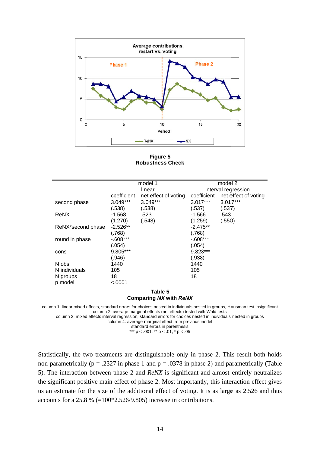

**Rob bustness Ch heck Figure 5**

|                   |             | model 1              |             | model 2              |
|-------------------|-------------|----------------------|-------------|----------------------|
|                   |             | linear               |             | interval regression  |
|                   | coefficient | net effect of voting | coefficient | net effect of voting |
| second phase      | $3.049***$  | $3.049***$           | $3.017***$  | $3.017***$           |
|                   | (.538)      | (.538)               | (.537)      | (.537)               |
| ReNX              | -1.568      | .523                 | $-1.566$    | .543                 |
|                   | (1.270)     | (.548)               | (1.259)     | (.550)               |
| ReNX*second phase | $-2.526**$  |                      | $-2.475**$  |                      |
|                   | (.768)      |                      | (.768)      |                      |
| round in phase    | $-608***$   |                      | $-608***$   |                      |
|                   | (.054)      |                      | (.054)      |                      |
| cons              | 9.805***    |                      | 9.828***    |                      |
|                   | (.946)      |                      | (.938)      |                      |
| N obs             | 1440        |                      | 1440        |                      |
| N individuals     | 105         |                      | 105         |                      |
| N groups          | 18          |                      | 18          |                      |
| p model           | $-.0001$    |                      |             |                      |
|                   |             | T.L. F               |             |                      |

#### **Compa aring** *NX* **wit th** *ReNX*  **Table 5**

column 1: linear mixed effects, standard errors for choices nested in individuals nested in groups, Hausman test insignificant column 2: average marginal effects (net effects) tested with Wald tests

column 3: mixed effects interval regression, standard errors for choices nested in individuals nested in groups

column 4: average marginal effect from previous model

standard errors in parenthesis \*\*\*  $p < .001$ , \*\*  $p < .01$ , \*  $p < .05$ 

Statistically, the two treatments are distinguishable only in phase 2. This result both holds non-parametrically ( $p = .2327$  in phase 1 and  $p = .0378$  in phase 2) and parametrically (Table 5). The interaction between phase 2 and *ReNX* is significant and almost entirely neutralizes the significant positive main effect of phase 2. Most importantly, this interaction effect gives us an estimate for the size of the additional effect of voting. It is as large as 2.526 and thus accounts for a 25.8 %  $(=100*2.526/9.805)$  increase in contributions.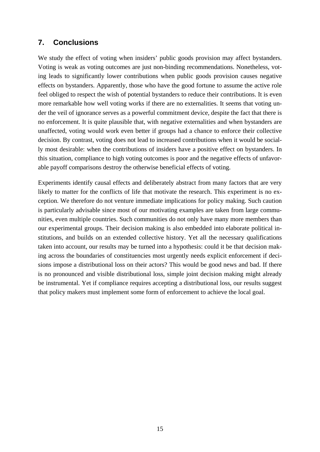# **7. Conclusions**

We study the effect of voting when insiders' public goods provision may affect bystanders. Voting is weak as voting outcomes are just non-binding recommendations. Nonetheless, voting leads to significantly lower contributions when public goods provision causes negative effects on bystanders. Apparently, those who have the good fortune to assume the active role feel obliged to respect the wish of potential bystanders to reduce their contributions. It is even more remarkable how well voting works if there are no externalities. It seems that voting under the veil of ignorance serves as a powerful commitment device, despite the fact that there is no enforcement. It is quite plausible that, with negative externalities and when bystanders are unaffected, voting would work even better if groups had a chance to enforce their collective decision. By contrast, voting does not lead to increased contributions when it would be socially most desirable: when the contributions of insiders have a positive effect on bystanders. In this situation, compliance to high voting outcomes is poor and the negative effects of unfavorable payoff comparisons destroy the otherwise beneficial effects of voting.

Experiments identify causal effects and deliberately abstract from many factors that are very likely to matter for the conflicts of life that motivate the research. This experiment is no exception. We therefore do not venture immediate implications for policy making. Such caution is particularly advisable since most of our motivating examples are taken from large communities, even multiple countries. Such communities do not only have many more members than our experimental groups. Their decision making is also embedded into elaborate political institutions, and builds on an extended collective history. Yet all the necessary qualifications taken into account, our results may be turned into a hypothesis: could it be that decision making across the boundaries of constituencies most urgently needs explicit enforcement if decisions impose a distributional loss on their actors? This would be good news and bad. If there is no pronounced and visible distributional loss, simple joint decision making might already be instrumental. Yet if compliance requires accepting a distributional loss, our results suggest that policy makers must implement some form of enforcement to achieve the local goal.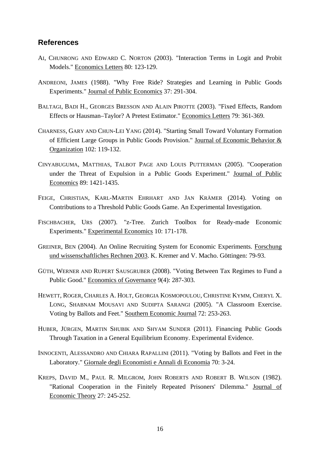# **References**

- AI, CHUNRONG AND EDWARD C. NORTON (2003). "Interaction Terms in Logit and Probit Models." Economics Letters 80: 123-129.
- ANDREONI, JAMES (1988). "Why Free Ride? Strategies and Learning in Public Goods Experiments." Journal of Public Economics 37: 291-304.
- BALTAGI, BADI H., GEORGES BRESSON AND ALAIN PIROTTE (2003). "Fixed Effects, Random Effects or Hausman–Taylor? A Pretest Estimator." Economics Letters 79: 361-369.
- CHARNESS, GARY AND CHUN-LEI YANG (2014). "Starting Small Toward Voluntary Formation of Efficient Large Groups in Public Goods Provision." Journal of Economic Behavior & Organization 102: 119-132.
- CINYABUGUMA, MATTHIAS, TALBOT PAGE AND LOUIS PUTTERMAN (2005). "Cooperation under the Threat of Expulsion in a Public Goods Experiment." Journal of Public Economics 89: 1421-1435.
- FEIGE, CHRISTIAN, KARL-MARTIN EHRHART AND JAN KRÄMER (2014). Voting on Contributions to a Threshold Public Goods Game. An Experimental Investigation.
- FISCHBACHER, URS (2007). "z-Tree. Zurich Toolbox for Ready-made Economic Experiments." Experimental Economics 10: 171-178.
- GREINER, BEN (2004). An Online Recruiting System for Economic Experiments. Forschung und wissenschaftliches Rechnen 2003. K. Kremer and V. Macho. Göttingen: 79-93.
- GÜTH, WERNER AND RUPERT SAUSGRUBER (2008). "Voting Between Tax Regimes to Fund a Public Good." Economics of Governance 9(4): 287-303.
- HEWETT, ROGER, CHARLES A. HOLT, GEORGIA KOSMOPOULOU, CHRISTINE KYMM, CHERYL X. LONG, SHABNAM MOUSAVI AND SUDIPTA SARANGI (2005). "A Classroom Exercise. Voting by Ballots and Feet." Southern Economic Journal 72: 253-263.
- HUBER, JÜRGEN, MARTIN SHUBIK AND SHYAM SUNDER (2011). Financing Public Goods Through Taxation in a General Equilibrium Economy. Experimental Evidence.
- INNOCENTI, ALESSANDRO AND CHIARA RAPALLINI (2011). "Voting by Ballots and Feet in the Laboratory." Giornale degli Economisti e Annali di Economia 70: 3-24.
- KREPS, DAVID M., PAUL R. MILGROM, JOHN ROBERTS AND ROBERT B. WILSON (1982). "Rational Cooperation in the Finitely Repeated Prisoners' Dilemma." Journal of Economic Theory 27: 245-252.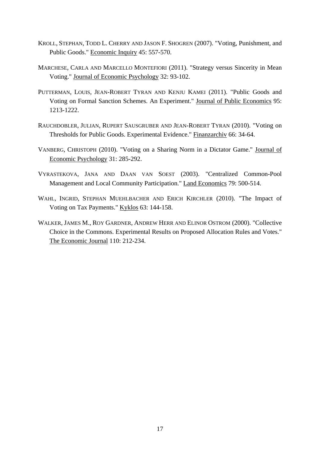- KROLL, STEPHAN, TODD L. CHERRY AND JASON F. SHOGREN (2007). "Voting, Punishment, and Public Goods." Economic Inquiry 45: 557-570.
- MARCHESE, CARLA AND MARCELLO MONTEFIORI (2011). "Strategy versus Sincerity in Mean Voting." Journal of Economic Psychology 32: 93-102.
- PUTTERMAN, LOUIS, JEAN-ROBERT TYRAN AND KENJU KAMEI (2011). "Public Goods and Voting on Formal Sanction Schemes. An Experiment." Journal of Public Economics 95: 1213-1222.
- RAUCHDOBLER, JULIAN, RUPERT SAUSGRUBER AND JEAN-ROBERT TYRAN (2010). "Voting on Thresholds for Public Goods. Experimental Evidence." Finanzarchiv 66: 34-64.
- VANBERG, CHRISTOPH (2010). "Voting on a Sharing Norm in a Dictator Game." Journal of Economic Psychology 31: 285-292.
- VYRASTEKOVA, JANA AND DAAN VAN SOEST (2003). "Centralized Common-Pool Management and Local Community Participation." Land Economics 79: 500-514.
- WAHL, INGRID, STEPHAN MUEHLBACHER AND ERICH KIRCHLER (2010). "The Impact of Voting on Tax Payments." Kyklos 63: 144-158.
- WALKER, JAMES M., ROY GARDNER, ANDREW HERR AND ELINOR OSTROM (2000). "Collective Choice in the Commons. Experimental Results on Proposed Allocation Rules and Votes." The Economic Journal 110: 212-234.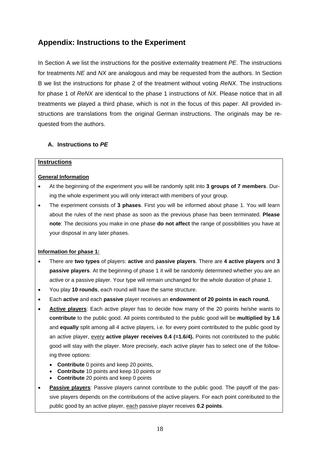# **Appendix: Instructions to the Experiment**

In Section A we list the instructions for the positive externality treatment *PE*. The instructions for treatments *NE* and *NX* are analogous and may be requested from the authors. In Section B we list the instructions for phase 2 of the treatment without voting *ReNX*. The instructions for phase 1 of *ReNX* are identical to the phase 1 instructions of *NX*. Please notice that in all treatments we played a third phase, which is not in the focus of this paper. All provided instructions are translations from the original German instructions. The originals may be requested from the authors.

# **A. Instructions to** *PE*

### **Instructions**

# **General Information**

- At the beginning of the experiment you will be randomly split into **3 groups of 7 members**. During the whole experiment you will only interact with members of your group.
- The experiment consists of **3 phases**. First you will be informed about phase 1. You will learn about the rules of the next phase as soon as the previous phase has been terminated. **Please note**: The decisions you make in one phase **do not affect** the range of possibilities you have at your disposal in any later phases.

# **Information for phase 1:**

- There are **two types** of players: **active** and **passive players**. There are **4 active players** and **3 passive players**. At the beginning of phase 1 it will be randomly determined whether you are an active or a passive player. Your type will remain unchanged for the whole duration of phase 1.
- You play **10 rounds**, each round will have the same structure.
- Each **active** and each **passive** player receives an **endowment of 20 points in each round.**
- **Active players**: Each active player has to decide how many of the 20 points he/she wants to **contribute** to the public good. All points contributed to the public good will be **multiplied by 1.6**  and **equally** split among all 4 active players, i.e. for every point contributed to the public good by an active player, every **active player receives 0.4 (=1.6/4).** Points not contributed to the public good will stay with the player. More precisely, each active player has to select one of the following three options:
	- **Contribute** 0 points and keep 20 points,
	- **Contribute** 10 points and keep 10 points or
	- **Contribute** 20 points and keep 0 points
- **Passive players**: Passive players cannot contribute to the public good. The payoff of the passive players depends on the contributions of the active players. For each point contributed to the public good by an active player, each passive player receives **0.2 points**.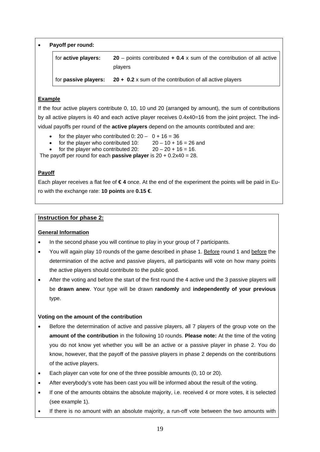|  | Payoff per round: |  |  |  |
|--|-------------------|--|--|--|
|--|-------------------|--|--|--|

| for active players:         | <b>20</b> – points contributed $\div$ 0.4 x sum of the contribution of all active<br>players |
|-----------------------------|----------------------------------------------------------------------------------------------|
| for <b>passive players:</b> | 20 + $0.2$ x sum of the contribution of all active players                                   |

# **Example**

If the four active players contribute 0, 10, 10 und 20 (arranged by amount), the sum of contributions by all active players is 40 and each active player receives 0.4x40=16 from the joint project. The individual payoffs per round of the **active players** depend on the amounts contributed and are:

- for the player who contributed  $0: 20 0 + 16 = 36$
- for the player who contributed 10:  $20 10 + 16 = 26$  and
- for the player who contributed 20:  $20 20 + 16 = 16$ .

The payoff per round for each **passive player** is 20 + 0.2x40 = 28.

# **Payoff**

Each player receives a flat fee of **€ 4** once. At the end of the experiment the points will be paid in Euro with the exchange rate: **10 points** are **0.15 €**.

# **Instruction for phase 2:**

# **General Information**

- In the second phase you will continue to play in your group of 7 participants.
- You will again play 10 rounds of the game described in phase 1. Before round 1 and before the determination of the active and passive players, all participants will vote on how many points the active players should contribute to the public good.
- After the voting and before the start of the first round the 4 active und the 3 passive players will be **drawn anew**. Your type will be drawn **randomly** and **independently of your previous** type.

# **Voting on the amount of the contribution**

- Before the determination of active and passive players, all 7 players of the group vote on the **amount of the contribution** in the following 10 rounds. **Please note:** At the time of the voting you do not know yet whether you will be an active or a passive player in phase 2. You do know, however, that the payoff of the passive players in phase 2 depends on the contributions of the active players.
- Each player can vote for one of the three possible amounts (0, 10 or 20).
- After everybody's vote has been cast you will be informed about the result of the voting.
- If one of the amounts obtains the absolute majority, i.e. received 4 or more votes, it is selected (see example 1).
- If there is no amount with an absolute majority, a run-off vote between the two amounts with